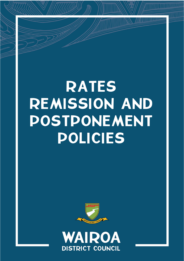# RATES REMISSION AND POSTPONEMENT POLICIES



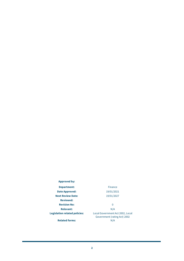## **Approved by:**

**Date Approved:** 19/01/2021 **Next Review Date:** 19/01/2027 **Reviewed: Revision No:** 0 **Relevant:** N/A

## **Department:** Finance

**Legislation related policies:** Local Government Act 2002, Local Government (rating Act) 2002

**Related forms:**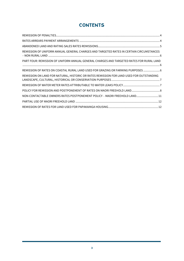## **CONTENTS**

| REMISSION OF UNIFORM ANNUAL GENERAL CHARGES AND TARGETED RATES IN CERTAIN CIRCUMSTANCES  |
|------------------------------------------------------------------------------------------|
| PART FOUR: REMISSION OF UNIFORM ANNUAL GENERAL CHARGES AND TARGETED RATES FOR RURAL LAND |
| REMISSION OF RATES ON COASTAL RURAL LAND USED FOR GRAZING OR FARMING PURPOSES  6         |
| REMISSION ON LAND FOR NATURAL, HISTORIC OR RATES REMISSION FOR LAND USED FOR OUTSTANDING |
|                                                                                          |
|                                                                                          |
| NON-CONTACTABLE OWNERS RATES POSTPONEMENT POLICY - MAORI FREEHOLD LAND11                 |
|                                                                                          |
|                                                                                          |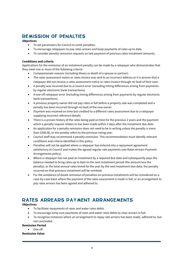## <span id="page-3-0"></span>REMISSION OF PENALTIES

## **Objectives**

- To set parameters for Council to remit penalties.
- To encourage ratepayers to pay rates arrears and keep payments of rates up to date.
- To consider penalty remission requests on late payment of previous rates instalment amounts.

## **Conditions and criteria**

Applications for the remission of an instalment penalty can be made by a ratepayer who demonstrates that they meet one or more of the following criteria:

- Compassionate reasons (including illness or death of a spouse or partner).
- The rates assessment notice or rates invoice was sent to an incorrect address or it is proven that a ratepayer did not receive a rates assessment notice or rates invoice through no fault of their own.
- A penalty was incurred due to a Council error (including timing differences arising from payments by regular electronic bank transactions).
- A one-off ratepayer error (including timing differences arising from payments by regular electronic bank transactions).
- A previous property owner did not pay rates in full before a property sale was completed and a penalty has been incurred through no fault of the new owner.
- Payment was received on time but credited to a different rates assessment due to a ratepayer supplying incorrect reference details.
- There is a proven history of the rates being paid on time for the previous 2 years and the payment which a penalty request relates to has been made within 3 days after the instalment due date.
- An application for a penalty remission does not need to be in writing unless the penalty is more than \$200.00, or the penalty refers to the previous rating year.
- Council staff may recommend a penalty remission. This recommendation must identify relevant conditions and criteria identified in this policy.
- Penalties will not be applied where a ratepayer has entered into a repayment agreement satisfactory to Council and makes the agreed regular rate payments (see Rates Arrears Payment Arrangements policy).
- Where a ratepayer has not paid an instalment by a required due date and subsequently pays the balance needed to bring rates up to date to the next instalment period (the amount less the penalty), or the total annual rates levied for the year by the next instalment due date, the penalty incurred on that previous instalment will be remitted.
- For the avoidance of doubt remission of penalties on previous instalments will be considered on a case-by-case basis where the payment of the rates assessment is made in full, or an arrangement to pay rates arrears has been agreed and adhered to.

## <span id="page-3-1"></span>RATES ARREARS PAYMENT ARRANGEMENTS

## **Objectives**

- To facilitate repayments of rates and water rates debts.
- To encourage lump sum payments of rates and water rates debts to clear arrears in full.
- To recognise instances where an arrangement to repay rate arrears has been made, adhered to, but not concluded.

## **Remission Period**

• One off

## **Remission Value**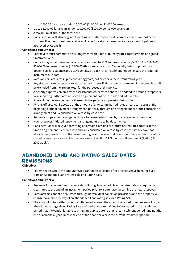- Up to \$500.00 for arrears under \$5,000.00 (\$100.00 per \$1,000.00 arrears)
- Up to \$1,000.00 for arrears under \$10,000.00 (\$100.00 per \$1,000.00 arrears).
- A maximum of 10% of the total debt.
- Consideration will also be given to writing off statute barred rates arrears which have not been written off in the current financial year (A report for statue barred rate arrears has not yet been approved by Council).

## **Conditions and Criteria**

- Ratepayers must commit to an arrangement with Council to repay rates arrears within an agreed timeframe, and
- Council may remit rates/ water rates arrears of up to \$500 for arrears under \$5,000.00 or \$1000,00 \$1,000.00 for arrears under \$10,000.00 (this is reflective of a 10% penalty being imposed for an opening arrears balance and a 10% penalty on each rates instalment not being paid the required instalment due date).
- Rates arrears are rates in previous rating years, not arrears in the current rating year.
- Any statute barred rates arrears not already written off at the time an agreement is entered into will be excluded from the arrears total for the purposes of this policy.
- A penalty suppression on a rates assessment/ water rates debt will be added to prohibit ratepayers from incurring further arrears once an agreement has been made and adhered to.
- A default on the arrangement will result in the penalty suppression being lifted.
- Writing off \$500.00, \$1,000.00 or the amount of any statute barred rates arrears can occur at the beginning of the repayment arrangement, part way through an arrangement or at the conclusion of arrangement and is considered on a case-by-case basis.
- Requests for payment arrangements are to be made in writing by the ratepayer or their agent.
- Non-ratepayer initiated repayment arrangements are to be documented.
- Consideration will be given to writing off arrears classified as statute barred rates arrears at the time an agreement is entered into and are considered on a case-by-case basis if they have not already been written off in the current rating year (the year that Council normally writes off statute barred rates arrears and which the provisions of section 65 0f the Local Government (Rating) Act 2002 apply).

## <span id="page-4-0"></span>ABANDONED LAND AND RATING SALES RATES REMISSIONS

## **Objectives**

• To remit rates where the amount levied cannot be collected after proceeds have been received from an Abandoned Land rating sale or a Rating Sale.

## **Conditions and Criteria**

- Proceeds for an Abandoned rating sale or Rating Sale do not clear the rates balance required to clear rates to the end of an instalment period prior to a purchaser becoming the new ratepayer.
- Rates arrears cannot be collected through normal debt collection provisions and the property will change ownership by way of an Abandoned Land rating sale or a Rating Sale.
- The amount to be written off is the difference between the amount received from proceeds from an Abandoned rating sale or Rating Sale and the balance remaining to be cleared to the instalment period that the vendor is liable to bring rates up to date to that rates instalment period (and not the end of a financial year unless the end of the financial year is the current instalment period).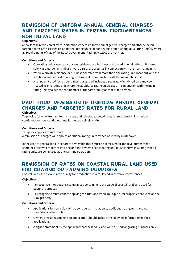## <span id="page-5-0"></span>REMISSION OF UNIFORM ANNUAL GENERAL CHARGES AND TARGETED RATES IN CERTAIN CIRCUMSTANCES – NON RURAL LAND

## **Objectives**

Allow for the remission of rates in situations where uniform annual general charges and other selected targeted rates are assessed on additional rating units for contiguous or non-contiguous rating unit(s), where all requirements of s.20 of the Local Government (Rating) Act 2002 are not met.

## **Conditions and Criteria**

- One rating unit is used as a private residence or a business and the additional rating unit is used solely as a garden or similar private part of the grounds in connection with the main rating unit.
- Where a private residence or business operates from more than one rating unit (location), and the additional unit is used as a single rating unit in conjunction with the main rating unit.
- A rating unit used for residential purposes, and includes a separately inhabited part, may be treated as one rating unit where the additional rating unit is used in conjunction with the main rating unit by a dependent member of the same family as that of the owner.

## <span id="page-5-1"></span>PART FOUR: REMISSION OF UNIFORM ANNUAL GENERAL CHARGES AND TARGETED RATES FOR RURAL LAND **Objectives**

To provide for relief from uniform charges and selected targeted rates for rural land which is either contiguous or non- contiguous and farmed as a single entity.

## **Conditions and Criteria**

This policy applies to rural land.

A remission of charges will apply to additional rating units owned or used by a ratepayer.

In the case of general land in separate ownership there must be some significant development that combines the two properties into one and the owners of each rating unit must confirm in writing that all rating units are being used as one farming operation.

## <span id="page-5-2"></span>REMISSION OF RATES ON COASTAL RURAL LAND USED FOR GRAZING OR FARMING PURPOSES

Coastal land used as farms can qualify for a reduction in rates levied in certain circumstances.

## **Objectives**

- To recognise the special circumstances pertaining to the value of coastal rural land used for pastoral purposes.
- To recognise circumstances applying to situations where multiple rural properties are used as one rural property.

## **Conditions and Criteria:**

- Applications for remission will be considered in relation to additional rating units and not standalone rating units;
- Owners or trustees making an application should include the following information in their applications:
- A signed statement by the applicant that the land is, and will be, used for grazing purposes only.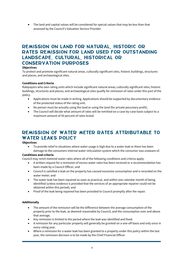• The land and capital values will be considered for special values that may be less than that assessed by the Council's Valuation Service Provider.

## <span id="page-6-0"></span>REMISSION ON LAND FOR NATURAL, HISTORIC OR RATES REMISSION FOR LAND USED FOR OUTSTANDING LANDSCAPE, CULTURAL, HISTORICAL OR CONSERVATION PURPOSES

## **Objectives**

To protect and promote significant natural areas, culturally significant sites, historic buildings, structures and places, and archaeological sites.

## **Conditions and Criteria**

Ratepayers who own rating units which include significant natural areas; culturally significant sites; historic buildings, structures and places; and archaeological sites qualify for remission of rates under this part of the policy.

- Applications must be made in writing. Applications should be supported by documentary evidence of the protected status of the rating unit.
- No person must be actually using the land or using the land (for private pecuniary profit).
- The Council will decide what amount of rates will be remitted on a case-by-case basis subject to a maximum amount of 50 percent of rates levied.

## <span id="page-6-1"></span>REMISSION OF WATER METER RATES ATTRIBUTABLE TO WATER LEAKS POLICY

## **Objectives**

• To provide relief in situations where water usage is high due to a water leak or there has been damage to the consumers internal water reticulation system which the consumer was unaware of.

## **Conditions and criteria**

Council may remit metered water rates where all of the following conditions and criteria apply:

- A written request for a remission of excess water rates has been received or a recommendation has been made by a Council Officer, and
- Council is satisfied a leak on the property has caused excessive consumption and is recorded on the water meter; and
- The water leak has been repaired as soon as practical, and within one calendar month of being identified (unless evidence is provided that the services of an appropriate repairer could not be obtained within this period); and
- Proof of the leak being repaired has been provided to Council promptly after the repair.

## **Additionally**

- The amount of the remission will be the difference between the average consumption of the property prior to the leak, as deemed reasonable by Council, and the consumption over and above that average.
- Any remission is limited to the period where the leak was identified and fixed.
- A remission for any particular property will generally be granted on a one-off basis and only once in every rating year.
- Where a remission for a water leak has been granted to a property under this policy within the last year, the remission decision is to be made by the Chief Financial Officer.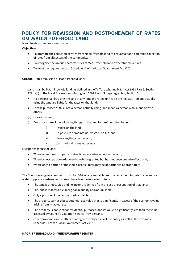## <span id="page-7-0"></span>POLICY FOR REMISSION AND POSTPONEMENT OF RATES ON MAORI FREEHOLD LAND

Māori freehold land rates remission

#### **Objectives**

- To promote the collection of rates from Māori freehold land to ensure fair and equitable collection of rates from all sectors of the community.
- To recognise the unique characteristics of Māori freehold land ownership structures.
- To meet the requirements of Schedule 11 of the Local Government Act 2002.

**Criteria** – rates remission of Māori freehold land:

Land must be Māori Freehold land (as defined in the Te Ture Whenua Māori Act 1993 Part 6, Section 129(1)(c) or the Local Government (Rating) Act 2002 Part1, Sub-paragraph 1, Section 5.

- No person shall be using the land at any time the rating unit is on the register. Persons actually using the land are liable for the rates on that land.
- For the purposes of this Part, a person actually using land means a person who, alone or with others,—
- (a) Leases the land; or
- (b) Does 1 or more of the following things on the land for profit or other benefit:
	- (i) Resides on the land;
	- (ii) De-pastures or maintains livestock on the land;
	- (iii) Stores anything on the land; or
	- (iv) Uses the land in any other way.

Exceptions for use of land;

- Where abandoned property or dwelling/s are situated upon the land;
- Where an occupation order may have been granted but has not been put into effect; and,
- Where only a portion of the land is usable, rates may be apportioned appropriately.

The Council may give a remission of up to 100% of any and all types of rates, except targeted rates set for water supply or wastewater disposal, based on the following criteria:

- The land is unoccupied and no income is derived from the use or occupation of that land;
- The land is inaccessible, marginal in quality and/or unusable;
- Only a portion of the land is used or usable;
- The property carries a best potential use value that is significantly in excess of the economic value arising from its actual use;
- The property is not used for residential purposes, and its value is significantly less than the value assessed by Council's Valuation Service Provider; and,
- Other provisions and matters relating to the objectives of the policy as well as those found in Schedule 11 of the Local Government Act 2002.

## **MĀORI FREEHOLD LAND – WHENUA RAHUI REGISTER**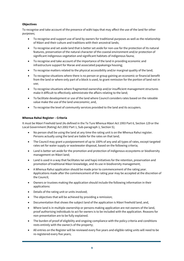## **Objectives**

To recognise and take account of the presence of wāhi tapu that may affect the use of the land for other purposes;

- To recognise and support use of land by owners for traditional purposes as well as the relationship of Māori and their culture and traditions with their ancestral lands;
- To recognise and set aside land that is better set aside for non-use for the protection of its natural features, preservation of the natural character of the coastal environment and/or protection of significant indigenous vegetation and significant habitats of indigenous fauna;
- To recognise and take account of the importance of the land in providing economic and infrastructure support for Marae and associated papakainga housing;
- To recognise matters related to the physical accessibility and/or marginal quality of the land;
- To recognise situations where there is no person or group gaining an economic or financial benefit from the land or where only part of a block is used, to grant remission for the portion of land not in use;
- To recognise situations where fragmented ownership and/or insufficient management structures make it difficult to effectively administrate the affairs relating to the land;
- To facilitate development or use of the land where Council considers rates based on the rateable value make the use of the land uneconomic; and,
- To recognise the level of community services provided to the land and its occupiers.

## **Whenua Rahui Register – Criteria**

It must be Māori Freehold land (As defined in the Te Ture Whenua Māori Act 1993 Part 6, Section 129 or the Local Government (Rating) Act 2002 Part 1, Sub-paragraph 1, Section 5);

- No person shall be using the land at any time the rating unit is on the Whenua Rahui register. Persons actually using the land are liable for the rates on that land;
- The Council may grant a postponement of up to 100% of any and all types of rates, except targeted rates set for water supply or wastewater disposal, based on the following criteria;
- Land is better set aside for the promotion and protection of indigenous ecosystems or biodiversity management on Māori land;
- Land is used in a way that facilitates Iwi and hapū initiatives for the retention, preservation and promotion of traditional Māori knowledge, and its use in biodiversity management;
- A Whenua Rahui application should be made prior to commencement of the rating year. Applications made after the commencement of the rating year may be accepted at the discretion of the Council;
- Owners or trustees making the application should include the following information in their applications:
- Details of the rating unit or units involved;
- The objectives that will be achieved by providing a remission;
- Documentation that shows the subject land of the application is Māori freehold land; and,
- Where land is in multiple-ownership or persons making application are not owners of the land, proof authorising individuals to act for owners is to be included with the application. Reasons for non-presentation are to be fully explained.
- The burden of proof of eligibility and ongoing compliance with the policy criteria and conditions rests entirely with the owner/s of the property;
- All entries on the Register will be reviewed every five years and eligible rating units will need to be re-registered every five years;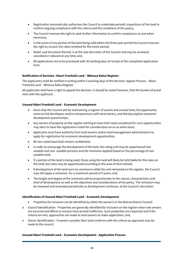- Registration automatically authorises the Council to undertake periodic inspections of the land to confirm ongoing compliance with the criteria and the conditions of this policy;
- The Council reserves the right to seek further information to confirm compliance as and when necessary;
- In the event of any portion of the land being sold within the three year period the Council reserves the right to recover the rates remitted for the entire period;
- Relief, and the extent thereof, is at the sole discretion of the Council and may be reviewed, cancelled or reduced at any time; and,
- All applications are to be processed with 30 working days of receipt of the completed application form.

## **Notification of Decision –Maori Freehold Land – Whenua Rahui Register**

The applicant/s shall be notified in writing within 5 working days of the decision. Appeal Process – Māori Freehold Land – Whenua Rahui Register

All applicants shall have a right to appeal the decision. It should be noted however, that the burden of proof rests with the applicant.

## **Unused Māori Freehold Land – Economic Development**

- Given that the Council will be maintaining a register of vacant and unused land, the opportunity exists to link developers and/or entrepreneurs with land owners, and thereby explore economic development partnerships;
- Any owners of property on the register wishing to have their land considered for such opportunities may elect to have the registration noted for consideration on an as when basis;
- Applicants must have authority from land owners and/or land management administrators to apply for registration for economic development opportunities;
- All non-voted land shall remain confidential;
- In order to encourage the development of the land, the rating unit may be apportioned into useable and non- useable portions and the remission applied based on the percentage of nonuseable land;
- If a portion of the land is being used, those using the land will likely be held liable for the rates on the land, but rates may be apportioned according to the area of land utilised;
- If development of the land were to commence while the unit remained on the register, the Council may still apply a remission, for a maximum period of 5 years; and,
- The length and degree of the remission will be proportionate to the nature, characteristics and level of development as well as the objectives and considerations of the policy. The remission may be reviewed and amended periodically as development continues, at the Council's discretion.

## **Identification of Unused Māori Freehold Land – Economic Development**

- Properties for inclusion can be identified by either the owner/s or the Wairoa District Council:
- o Council Identification Properties are generally identified for inclusion on the register when rate arrears are incurred and efforts to recover have proved ineffective. Such properties are inspected and if the criteria are met, approaches are made to land owners to make application; and,
- o Owner Identification If owners consider their land conforms with the criteria an approach may be made to the council.

#### **Unused Māori Freehold Land – Economic Development - Application Process**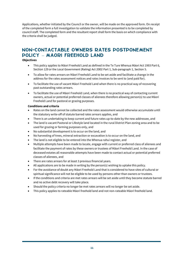Applications, whether initiated by the Council or the owner, will be made on the approved form. On receipt of the completed form a full investigation to validate the information presented is to be completed by council staff. The completed form and the resultant report shall form the basis on which compliance with the criteria shall be judged.

## <span id="page-10-0"></span>NON-CONTACTABLE OWNERS RATES POSTPONEMENT POLICY – MAORI FREEHOLD LAND

## **Objectives**

- This policy applies to Māori Freehold Land as defined in the Te Ture Whenua Māori Act 1993 Part 6, Section 129 or the Local Government (Rating) Act 2002 Part 1, Sub-paragraph 1, Section 5.
- To allow for rates arrears on Māori Freehold Land to be set aside and facilitate a change in the address for the rates assessment notices and rates invoices to be sent to (and paid for).
- To facilitate the use of vacant Māori Freehold Land when there is no practical way of recovering past outstanding rates arrears.
- To facilitate the use of Māori Freehold Land, when there is no practical way of contacting current owners, actual or potential preferred classes of alienees therefore allowing person(s) to use Māori Freehold Land for pastoral or grazing purposes.

## **Conditions and criteria**

- Rates on the land cannot be collected and the rates assessment would otherwise accumulate until the statutory write-off of statute barred rates arrears applies, and
- There is an undertaking to keep current and future rates up-to-date by the new addressee, and
- The land is vacant Pastoral or Lifestyle land located in the rural District Plan zoning area and to be used for grazing or farming purposes only, and
- No substantial development is to occur on the land, and
- No harvesting of trees, mineral extraction or excavation is to occur on the land, and
- The land is not eligible to be entered into the Whenua rahui register, and
- Multiple attempts have been made to locate, engage with current or preferred class of alienees and facilitate the payment of rates by these owners or trustees of Māori Freehold Land. In the case of deceased estates all reasonable attempts have been made to contact actual or potential preferred classes of alienees, and
- There are rates arrears for at least 3 previous financial years.
- All applications are to be made in writing by the person(s) wishing to uptake this policy.
- For the avoidance of doubt any Māori Freehold Land that is considered to have sites of cultural or spiritual significance will not be eligible to be used by persons other than owners or trustees.
- If the conditions and criteria are met rates arrears will be set aside until they become statute barred and no active debt recovery will take place.
- Should the policy criteria no longer be met rates arrears will no longer be set aside.
- This policy applies to rateable Māori freehold land and not non-rateable Māori freehold land.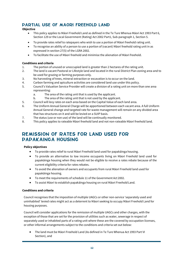## <span id="page-11-0"></span>PARTIAL USE OF MAORI FREEHOLD LAND

## **Objective**

- This policy applies to Māori Freehold Land as defined in the Te Ture Whenua Māori Act 1993 Part 6, Section 129 or the Local Government (Rating) Act 2002 Part1, Sub-paragraph 1, Section 5.
- To provide rates relief to ratepayers who wish to use a portion of Māori freehold rating unit.
- To recognise an ability of a person to use a portion of (vacant) Māori freehold rating unit in as expressed in section 27(5) of the LGRA 2002.
- To facilitate the use of Māori freehold and minimise the alienation of Māori freehold.

## **Conditions and criteria**

- 1. The portion of unused or unoccupied land is greater than 2 hectares of the rating unit.<br>2. The land is vacant Pastoral or Lifestyle land and located in the rural District Plan zonin
- 2. The land is vacant Pastoral or Lifestyle land and located in the rural District Plan zoning area and to be used for grazing or farming purposes only.
- 3. No harvesting of trees, mineral extraction or excavation is to occur on the land.
- 4. Carbon farming and apiculture activities are considered land use under this policy.<br>5. Council's Valuation Service Provider will create a division of a rating unit on more the
- 5. Council's Valuation Service Provider will create a division of a rating unit on more than one area representing:
	- a. The area of the rating unit that is used by the applicant.
	- b. The area of the rating unit that is not used by the applicant.
- 5. Council will levy rates on each area based on the Capital Value of each land area.
- 6. The Uniform Annual General Charge will be apportioned between each vacant area. A full Uniform Annual General change and targeted rate for waste management will remain on any divided area that has structures on it and will be levied on a SUIP basis.
- 7. The status (use or non use) of the land will be continually monitored.
- 8. This policy applies to rateable Māori freehold land and not non-rateable Māori freehold land.

## <span id="page-11-1"></span>REMISSION OF RATES FOR LAND USED FOR PAPAKAINGA HOUSING

## **Policy objectives**

- To provide rates relief to rural Māori Freehold land used for papakāinga housing.
- To provide an alternative to low income occupants living on Māori Freehold land used for papakāinga housing when they would not be eligible to receive a rates rebate because of the current eligibility criteria for rates rebates.
- To avoid the alienation of owners and occupants from rural Māori Freehold land used for papakāinga housing.
- To meet the requirements of schedule 11 of the Government Act 2002.
- To assist Māori to establish papakāinga housing on rural Māori Freehold Land.

## **Conditions and criteria**

Council recognises that the imposition of multiple UAGCs or other non-service 'separately used and uninhabited' levied rates might act as a deterrent to Māori seeking to occupy Māori Freehold Land for housing purposes.

Council will consider applications for the remission of multiple UAGCs and other charges, with the exception of those that are set for the provision of utilities such as water, sewerage in respect of separately used or inhabited parts of a rating unit where these are the covered by occupation licenses, or other informal arrangements subject to the conditions and criteria set out below:

• The land must be Māori Freehold Land (As defined in Te Ture Whenua Act 1993 Part VI Section), and